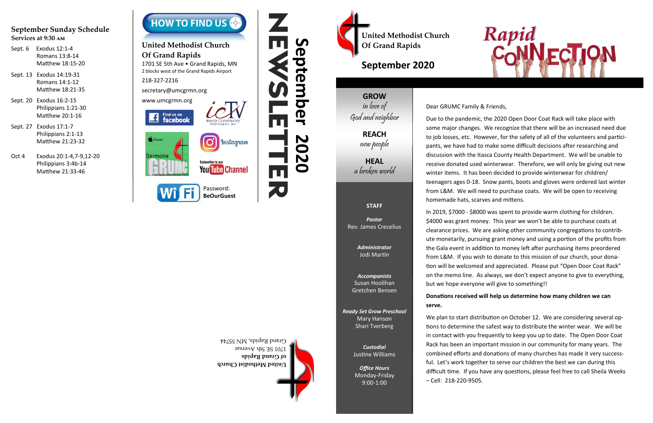# **September 2020**

## **GROW** in love of

God and neighbor

## **REACH**

new people

**HEAL** a broken world

## **STAFF**

*Pastor* Rev. James Crecelius

> *Administrator* Jodi Martin

*Accompanists* Susan Hoolihan Gretchen Bensen

*Ready Set Grow Preschool* Mary Hanson Shari Tverberg

> *Custodial* Justine Williams

*Office Hours* Monday-Friday 9:00-1:00

**United Methodist Church of Grand Rapids** 1701 SE 5th Avenue Grand Rapids, MN 55744





1701 SE 5th Ave . Grand Rapids, MN 2 blocks west of the Grand Rapids Airport

## **September Sunday Schedule Services at 9:30 am**

- Sept. 6 Exodus 12:1-4 Romans 13:8-14 Matthew 18:15-20
- Sept. 13 Exodus 14:19-31 Romans 14:1-12 Matthew 18:21-35
- Sept. 20 Exodus 16:2-15 Philippians 1:21-30 Matthew 20:1-16
- Sept. 27 Exodus 17:1-7 Philippians 2:1-13 Matthew 21:23-32
- Oct 4 Exodus 20:1-4,7-9,12-20 Philippians 3:4b-14 Matthew 21:33-46



# **United Methodist Church Of Grand Rapids**

218-327-2216

secretary@umcgrmn.org





United Methodist Church<br>
Of Grand Rapids **Property** 

**BeOurGuest**

## Dear GRUMC Family & Friends,

Due to the pandemic, the 2020 Open Door Coat Rack will take place with some major changes. We recognize that there will be an increased need due to job losses, etc. However, for the safety of all of the volunteers and participants, we have had to make some difficult decisions after researching and discussion with the Itasca County Health Department. We will be unable to receive donated used winterwear. Therefore, we will only be giving out new winter items. It has been decided to provide winterwear for children/ teenagers ages 0-18. Snow pants, boots and gloves were ordered last winter from L&M. We will need to purchase coats. We will be open to receiving homemade hats, scarves and mittens.

We plan to start distribution on October 12. We are considering several options to determine the safest way to distribute the winter wear. We will be in contact with you frequently to keep you up to date. The Open Door Coat Rack has been an important mission in our community for many years. The combined efforts and donations of many churches has made it very successful. Let's work together to serve our children the best we can during this difficult time. If you have any questions, please feel free to call Sheila Weeks – Cell: 218-220-9505.

In 2019, \$7000 - \$8000 was spent to provide warm clothing for children. \$4000 was grant money. This year we won't be able to purchase coats at clearance prices. We are asking other community congregations to contribute monetarily, pursuing grant money and using a portion of the profits from the Gala event in addition to money left after purchasing items preordered from L&M. If you wish to donate to this mission of our church, your donation will be welcomed and appreciated. Please put "Open Door Coat Rack" on the memo line. As always, we don't expect anyone to give to everything, but we hope everyone will give to something!!

## **Donations received will help us determine how many children we can**

**serve.**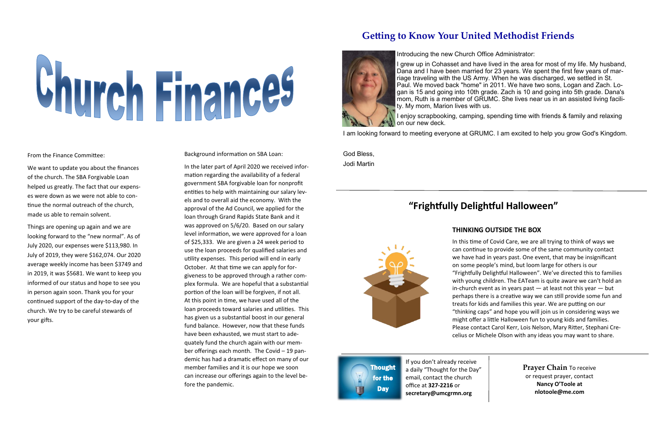# **Getting to Know Your United Methodist Friends**



If you don't already receive a daily "Thought for the Day" email, contact the church office at **327-2216** or **secretary@umcgrmn.org** 



# Church Finances

From the Finance Committee:

We want to update you about the finances of the church. The SBA Forgivable Loan helped us greatly. The fact that our expenses were down as we were not able to continue the normal outreach of the church, made us able to remain solvent.

Things are opening up again and we are looking forward to the "new normal". As of July 2020, our expenses were \$113,980. In July of 2019, they were \$162,074. Our 2020 average weekly income has been \$3749 and in 2019, it was \$5681. We want to keep you informed of our status and hope to see you in person again soon. Thank you for your continued support of the day-to-day of the church. We try to be careful stewards of your gifts.

Background information on SBA Loan:

grew up in Cohasset and have lived in the area for most of my life. My husband, Dana and I have been married for 23 years. We spent the first few years of marriage traveling with the US Army. When he was discharged, we settled in St. Paul. We moved back "home" in 2011. We have two sons, Logan and Zach. Logan is 15 and going into 10th grade. Zach is 10 and going into 5th grade. Dana's mom, Ruth is a member of GRUMC. She lives near us in an assisted living facility. My mom, Marion lives with us.

I enjoy scrapbooking, camping, spending time with friends & family and relaxing on our new deck.

In the later part of April 2020 we received information regarding the availability of a federal government SBA forgivable loan for nonprofit entities to help with maintaining our salary levels and to overall aid the economy. With the approval of the Ad Council, we applied for the loan through Grand Rapids State Bank and it was approved on 5/6/20. Based on our salary level information, we were approved for a loan of \$25,333. We are given a 24 week period to use the loan proceeds for qualified salaries and utility expenses. This period will end in early October. At that time we can apply for forgiveness to be approved through a rather complex formula. We are hopeful that a substantial portion of the loan will be forgiven, if not all. At this point in time, we have used all of the loan proceeds toward salaries and utilities. This has given us a substantial boost in our general fund balance. However, now that these funds have been exhausted, we must start to adequately fund the church again with our member offerings each month. The Covid – 19 pandemic has had a dramatic effect on many of our member families and it is our hope we soon can increase our offerings again to the level before the pandemic.

Introducing the new Church Office Administrator:

I am looking forward to meeting everyone at GRUMC. I am excited to help you grow God's Kingdom.

God Bless, Jodi Martin

# **"Frightfully Delightful Halloween"**

## **THINKING OUTSIDE THE BOX**

In this time of Covid Care, we are all trying to think of ways we can continue to provide some of the same community contact we have had in years past. One event, that may be insignificant on some people's mind, but loom large for others is our "Frightfully Delightful Halloween". We've directed this to families with young children. The EATeam is quite aware we can't hold an in-church event as in years past  $-$  at least not this year  $-$  but perhaps there is a creative way we can still provide some fun and treats for kids and families this year. We are putting on our "thinking caps" and hope you will join us in considering ways we might offer a little Halloween fun to young kids and families. Please contact Carol Kerr, Lois Nelson, Mary Ritter, Stephani Crecelius or Michele Olson with any ideas you may want to share.

> **Prayer Chain** To receive or request prayer, contact **Nancy O'Toole at nlotoole@me.com**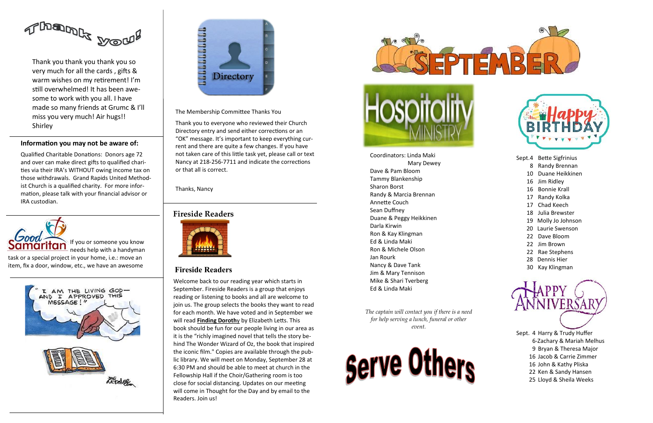Coordinators: Linda Maki Mary Dewey Dave & Pam Bloom Tammy Blankenship Sharon Borst Randy & Marcia Brennan Annette Couch Sean Duffney Duane & Peggy Heikkinen Darla Kirwin Ron & Kay Klingman Ed & Linda Maki Ron & Michele Olson Jan Rourk Nancy & Dave Tank Jim & Mary Tennison Mike & Shari Tverberg Ed & Linda Maki

*The captain will contact you if there is a need for help serving a lunch, funeral or other event.*





Sept.4 Bette Sigfrinius

- 8 Randy Brennan
- 10 Duane Heikkinen
- 16 Jim Ridley
- 16 Bonnie Krall
- 17 Randy Kolka
- 17 Chad Keech
- 18 Julia Brewster
- 19 Molly Jo Johnson
- 20 Laurie Swenson
- 22 Dave Bloom
- 22 Jim Brown
- 22 Rae Stephens
- 28 Dennis Hier
- 30 Kay Klingman



Sept. 4 Harry & Trudy Huffer

- 6-Zachary & Mariah Melhus
- 9 Bryan & Theresa Major
- 16 Jacob & Carrie Zimmer
- 16 John & Kathy Pliska
- 22 Ken & Sandy Hansen
- 25 Lloyd & Sheila Weeks

## **Fireside Readers**

## **Fireside Readers**



Welcome back to our reading year which starts in September. Fireside Readers is a group that enjoys reading or listening to books and all are welcome to join us. The group selects the books they want to read for each month. We have voted and in September we will read **Finding Doroth**y by Elizabeth Letts. This book should be fun for our people living in our area as it is the "richly imagined novel that tells the story behind The Wonder Wizard of Oz, the book that inspired the iconic film." Copies are available through the public library. We will meet on Monday, September 28 at 6:30 PM and should be able to meet at church in the Fellowship Hall if the Choir/Gathering room is too close for social distancing. Updates on our meeting will come in Thought for the Day and by email to the Readers. Join us!





If you or someone you know needs help with a handyman

task or a special project in your home, i.e.: move an item, fix a door, window, etc., we have an awesome





The Membership Committee Thanks You

Thank you to everyone who reviewed their Church Directory entry and send either corrections or an "OK" message. It's important to keep everything current and there are quite a few changes. If you have not taken care of this little task yet, please call or text Nancy at 218-256-7711 and indicate the corrections or that all is correct.

Thanks, Nancy



Thank you thank you thank you so very much for all the cards , gifts & warm wishes on my retirement! I'm still overwhelmed! It has been awesome to work with you all. I have made so many friends at Grumc & I'll miss you very much! Air hugs!! Shirley

## **Information you may not be aware of:**

Qualified Charitable Donations: Donors age 72 and over can make direct gifts to qualified charities via their IRA's WITHOUT owing income tax on those withdrawals. Grand Rapids United Methodist Church is a qualified charity. For more information, please talk with your financial advisor or IRA custodian.